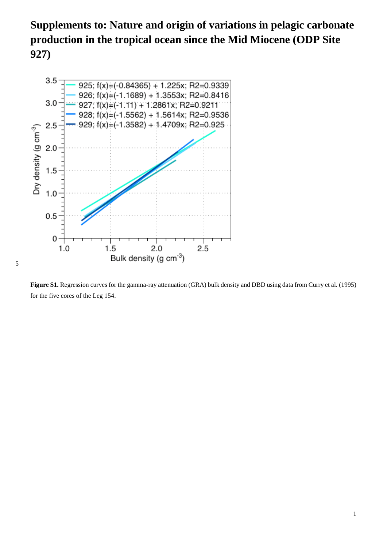**Supplements to: Nature and origin of variations in pelagic carbonate production in the tropical ocean since the Mid Miocene (ODP Site 927)**



**Figure S1.** Regression curves for the gamma-ray attenuation (GRA) bulk density and DBD using data from Curry et al. (1995) for the five cores of the Leg 154.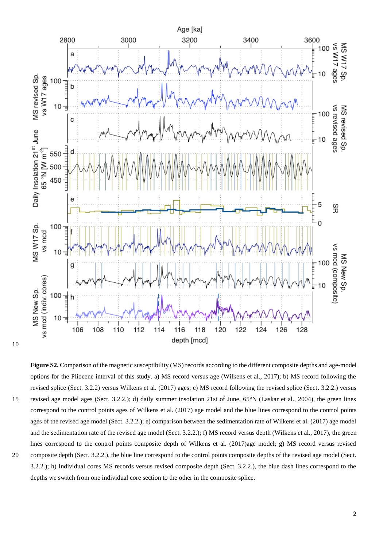

10

**Figure S2.** Comparison of the magnetic susceptibility (MS) records according to the different composite depths and age-model options for the Pliocene interval of this study. a) MS record versus age (Wilkens et al., 2017); b) MS record following the revised splice (Sect. 3.2.2) versus Wilkens et al. (2017) ages; c) MS record following the revised splice (Sect. 3.2.2.) versus 15 revised age model ages (Sect. 3.2.2.); d) daily summer insolation 21st of June, 65°N (Laskar et al., 2004), the green lines correspond to the control points ages of Wilkens et al. (2017) age model and the blue lines correspond to the control points ages of the revised age model (Sect. 3.2.2.); e) comparison between the sedimentation rate of Wilkens et al. (2017) age model and the sedimentation rate of the revised age model (Sect. 3.2.2.); f) MS record versus depth (Wilkens et al., 2017), the green lines correspond to the control points composite depth of Wilkens et al. (2017)age model; g) MS record versus revised 20 composite depth (Sect. 3.2.2.), the blue line correspond to the control points composite depths of the revised age model (Sect.

3.2.2.); h) Individual cores MS records versus revised composite depth (Sect. 3.2.2.), the blue dash lines correspond to the

depths we switch from one individual core section to the other in the composite splice.